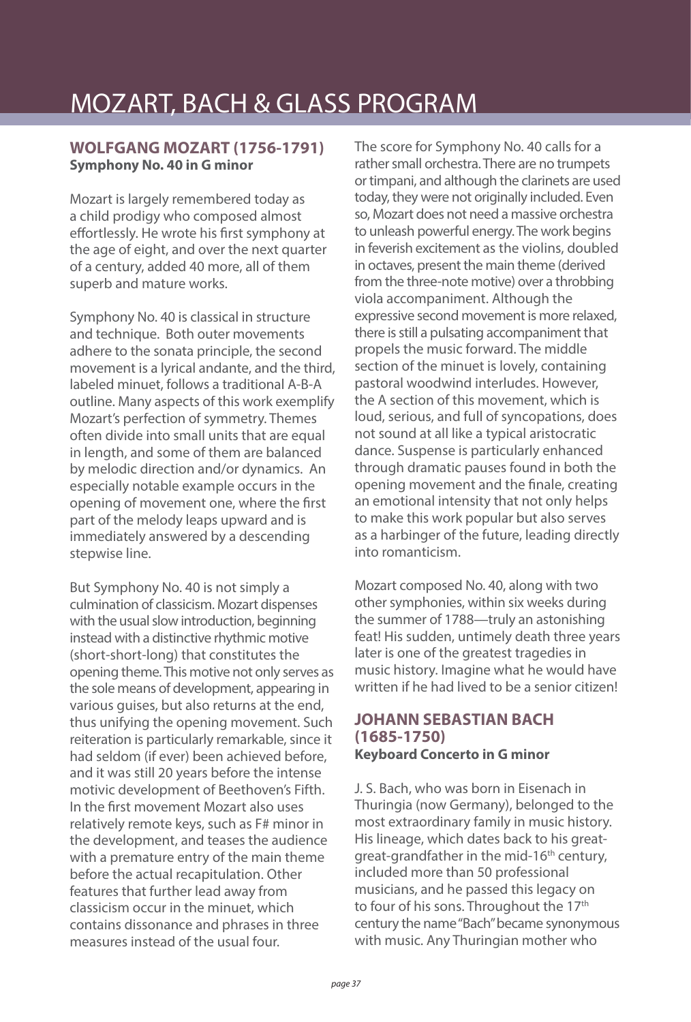# MOZART, BACH & GLASS PROGRAM

### **WOLFGANG MOZART (1756-1791) Symphony No. 40 in G minor**

Mozart is largely remembered today as a child prodigy who composed almost effortlessly. He wrote his first symphony at the age of eight, and over the next quarter of a century, added 40 more, all of them superb and mature works.

Symphony No. 40 is classical in structure and technique. Both outer movements adhere to the sonata principle, the second movement is a lyrical andante, and the third, labeled minuet, follows a traditional A-B-A outline. Many aspects of this work exemplify Mozart's perfection of symmetry. Themes often divide into small units that are equal in length, and some of them are balanced by melodic direction and/or dynamics. An especially notable example occurs in the opening of movement one, where the first part of the melody leaps upward and is immediately answered by a descending stepwise line.

But Symphony No. 40 is not simply a culmination of classicism. Mozart dispenses with the usual slow introduction, beginning instead with a distinctive rhythmic motive (short-short-long) that constitutes the opening theme. This motive not only serves as the sole means of development, appearing in various guises, but also returns at the end, thus unifying the opening movement. Such reiteration is particularly remarkable, since it had seldom (if ever) been achieved before, and it was still 20 years before the intense motivic development of Beethoven's Fifth. In the first movement Mozart also uses relatively remote keys, such as F# minor in the development, and teases the audience with a premature entry of the main theme before the actual recapitulation. Other features that further lead away from classicism occur in the minuet, which contains dissonance and phrases in three measures instead of the usual four.

The score for Symphony No. 40 calls for a rather small orchestra. There are no trumpets or timpani, and although the clarinets are used today, they were not originally included. Even so, Mozart does not need a massive orchestra to unleash powerful energy. The work begins in feverish excitement as the violins, doubled in octaves, present the main theme (derived from the three-note motive) over a throbbing viola accompaniment. Although the expressive second movement is more relaxed, there is still a pulsating accompaniment that propels the music forward. The middle section of the minuet is lovely, containing pastoral woodwind interludes. However, the A section of this movement, which is loud, serious, and full of syncopations, does not sound at all like a typical aristocratic dance. Suspense is particularly enhanced through dramatic pauses found in both the opening movement and the finale, creating an emotional intensity that not only helps to make this work popular but also serves as a harbinger of the future, leading directly into romanticism.

Mozart composed No. 40, along with two other symphonies, within six weeks during the summer of 1788—truly an astonishing feat! His sudden, untimely death three years later is one of the greatest tragedies in music history. Imagine what he would have written if he had lived to be a senior citizen!

#### **JOHANN SEBASTIAN BACH (1685-1750) Keyboard Concerto in G minor**

J. S. Bach, who was born in Eisenach in Thuringia (now Germany), belonged to the most extraordinary family in music history. His lineage, which dates back to his greatgreat-grandfather in the mid-16<sup>th</sup> century, included more than 50 professional musicians, and he passed this legacy on to four of his sons. Throughout the 17<sup>th</sup> century the name "Bach" became synonymous with music. Any Thuringian mother who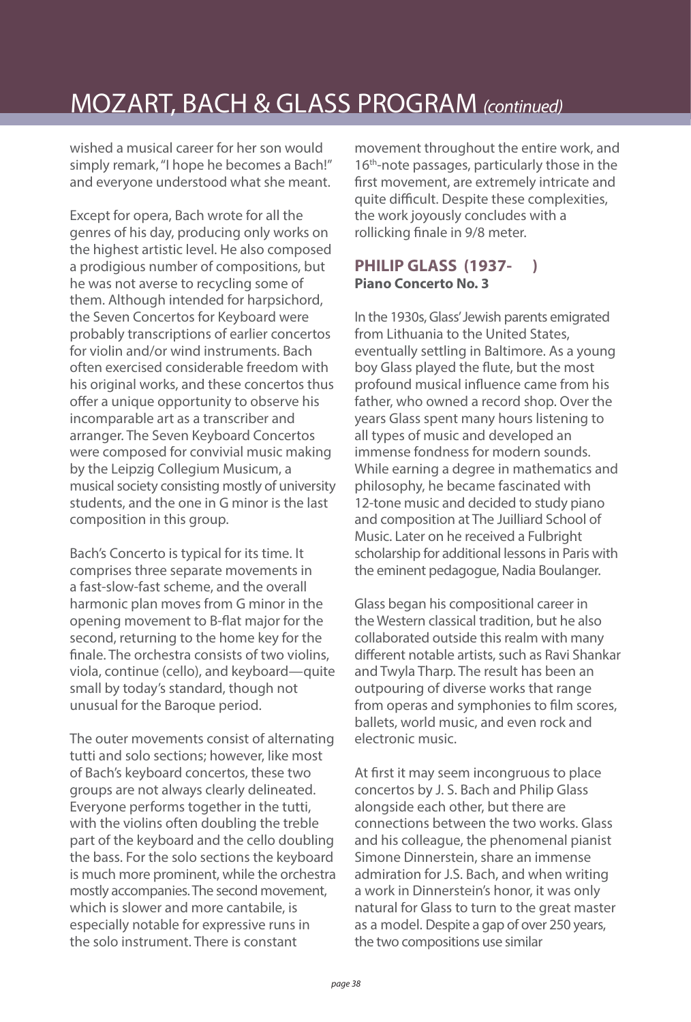## MOZART, BACH & GLASS PROGRAM (continued)

wished a musical career for her son would simply remark, "I hope he becomes a Bach!" and everyone understood what she meant.

Except for opera, Bach wrote for all the genres of his day, producing only works on the highest artistic level. He also composed a prodigious number of compositions, but he was not averse to recycling some of them. Although intended for harpsichord, the Seven Concertos for Keyboard were probably transcriptions of earlier concertos for violin and/or wind instruments. Bach often exercised considerable freedom with his original works, and these concertos thus offer a unique opportunity to observe his incomparable art as a transcriber and arranger. The Seven Keyboard Concertos were composed for convivial music making by the Leipzig Collegium Musicum, a musical society consisting mostly of university students, and the one in G minor is the last composition in this group.

Bach's Concerto is typical for its time. It comprises three separate movements in a fast-slow-fast scheme, and the overall harmonic plan moves from G minor in the opening movement to B-flat major for the second, returning to the home key for the finale. The orchestra consists of two violins, viola, continue (cello), and keyboard—quite small by today's standard, though not unusual for the Baroque period.

The outer movements consist of alternating tutti and solo sections; however, like most of Bach's keyboard concertos, these two groups are not always clearly delineated. Everyone performs together in the tutti, with the violins often doubling the treble part of the keyboard and the cello doubling the bass. For the solo sections the keyboard is much more prominent, while the orchestra mostly accompanies. The second movement, which is slower and more cantabile, is especially notable for expressive runs in the solo instrument. There is constant

movement throughout the entire work, and 16<sup>th</sup>-note passages, particularly those in the first movement, are extremely intricate and quite difficult. Despite these complexities, the work joyously concludes with a rollicking finale in 9/8 meter.

### **PHILIP GLASS (1937- ) Piano Concerto No. 3**

In the 1930s, Glass' Jewish parents emigrated from Lithuania to the United States, eventually settling in Baltimore. As a young boy Glass played the flute, but the most profound musical influence came from his father, who owned a record shop. Over the years Glass spent many hours listening to all types of music and developed an immense fondness for modern sounds. While earning a degree in mathematics and philosophy, he became fascinated with 12-tone music and decided to study piano and composition at The Juilliard School of Music. Later on he received a Fulbright scholarship for additional lessons in Paris with the eminent pedagogue, Nadia Boulanger.

Glass began his compositional career in the Western classical tradition, but he also collaborated outside this realm with many different notable artists, such as Ravi Shankar and Twyla Tharp. The result has been an outpouring of diverse works that range from operas and symphonies to film scores, ballets, world music, and even rock and electronic music.

At first it may seem incongruous to place concertos by J. S. Bach and Philip Glass alongside each other, but there are connections between the two works. Glass and his colleague, the phenomenal pianist Simone Dinnerstein, share an immense admiration for J.S. Bach, and when writing a work in Dinnerstein's honor, it was only natural for Glass to turn to the great master as a model. Despite a gap of over 250 years, the two compositions use similar